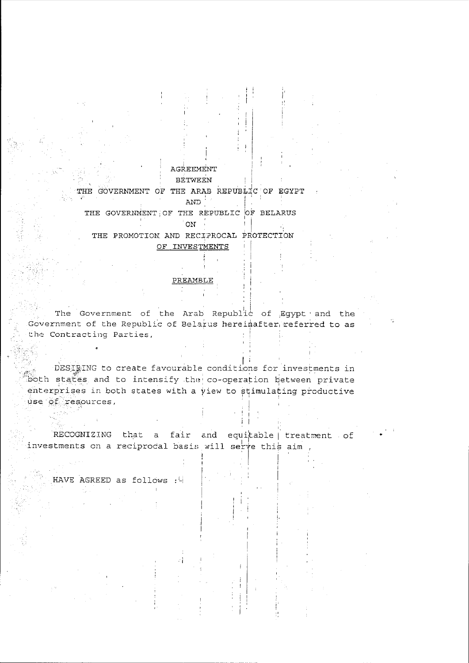## AGREEMENT

## **BETWEEN**

## THE GOVERNMENT OF THE ARAB REPUBLIC OF EGYPT AND THE GOVERNMENT OF THE REPUBLIC OF BELARUS

THE PROMOTION AND RECIPROCAL PROTECTION OF INVESTMENTS

 $\circ$  on  $\circ$ 

#### PREAMBLE

The Government of the Arab Republic of Egypt and the Government of the Republic of Belarus hereinafter referred to as the Contracting Parties,

DESIGNG to create favourable conditions for investments in both states and to intensify the co-operation between private enterprises in both states with a view to stimulating productive use of resources,

RECOGNIZING that a fair and equitable treatment of investments on a reciprocal basis will serve this aim

HAVE AGREED as follows :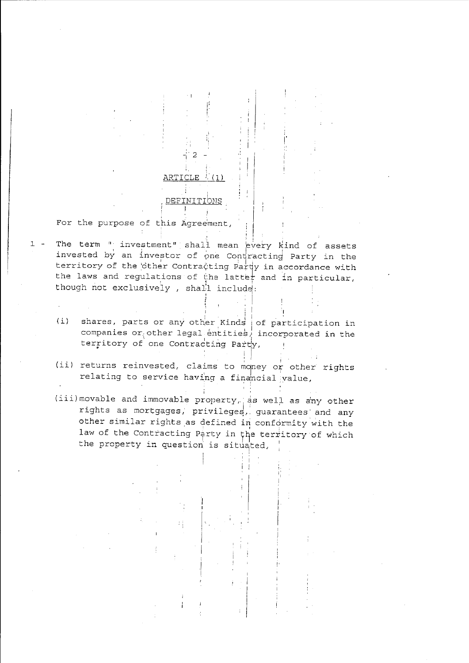

The term " investment" shall mean every kind of assets  $1 -$ 

ARTICLE

DEFINIT

- invested by an investor of one Contracting Party in the territory of the other Contracting Party in accordance with the laws and regulations of the latter and in particular, though not exclusively, shall include:
- shares, parts or any other Kinds of participation in  $(i)$ companies or other legal entities, incorporated in the territory of one Contracting Party,
- (ii) returns reinvested, claims to money or other rights relating to service having a financial value,
- (iii) movable and immovable property, as well as any other rights as mortgages, privileges, guarantees and any other similar rights as defined in conformity with the law of the Contracting Party in the territory of which the property in question is situated,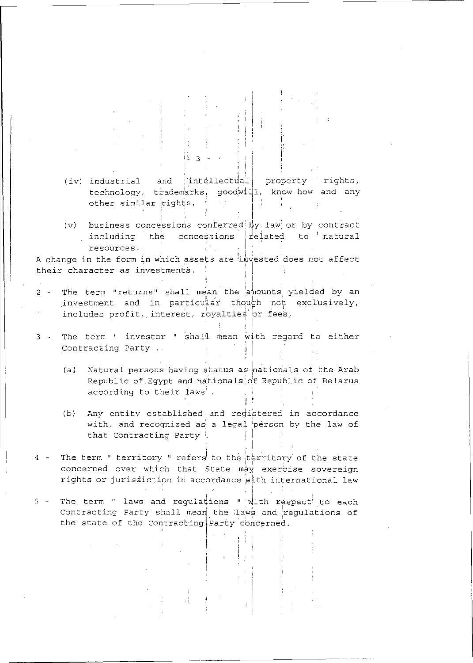- (iv) industrial and ; intellectual property rights, technology, trademarks, goodwill. know-how and any other similar rights, 计主 医卡本
- $(v)$  business concessions conferred by law or by contract including the concessions related to natural resources.

A change in the form in which assets are imvested does not affect their character as investments.

- The term "returns" shall mean the amounts yielded by an  $2$ investment and in particular though not exclusively, includes profit, interest, royalties or fees,
- 3 The term " investor " shall mean with regard to either Contracting Party ...
	- Natural persons having status as nationals of the Arab  $(a)$ Republic of Egypt and nationals of Republic of Belarus according to their laws'.
	- (b) Any entity established, and registered in accordance with, and recognized as a legal person by the law of that Contracting Party !
- 4 The term " territory " refers to the territory of the state concerned over which that State may exercise sovereign rights or jurisdiction in accordance with international law
- The term " laws and regulations " with respect to each  $5 -$ Contracting Party shall mean the laws and regulations of the state of the Contracting Party concerned.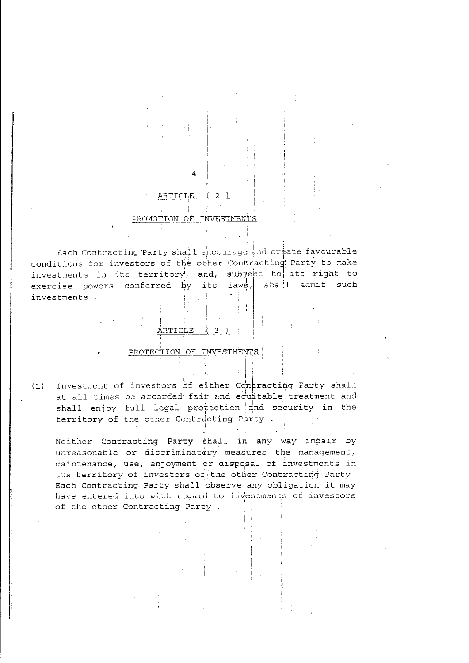#### ARTICLE j.  $\cdot$  1

### PROMOTION OF INVESTMENT

Each Contracting Party shall encourage and create favourable conditions for investors of the other Contracting Party to make investments in its territory, and, subject to its right to exercise powers conferred by  $laws,$ shall admit such its investments .

PROTECTION OF INVESTMENTS

Investment of investors of either Contracting Party shall  $(1)$ at all times be accorded fair and equitable treatment and shall enjoy full legal protection and security in the territory of the other Contracting Party.

Neither Contracting Party shall  $in \mid any way import by$ unreasonable or discriminatory measures the management, maintenance, use, enjoyment or disposal of investments in its territory of investors of the other Contracting Party. Each Contracting Party shall observe any obligation it may have entered into with regard to investments of investors of the other Contracting Party.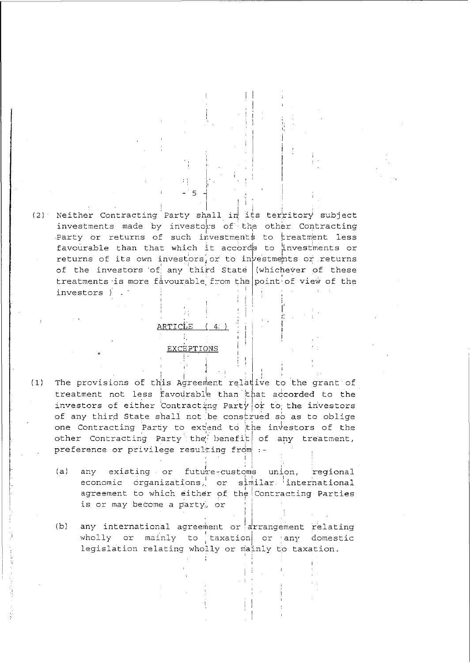(2) Neither Contracting Party shall in its territory subject investments made by investors of the other Contracting Party or returns of such investments to treatment less favourable than that which it accords to investments or returns of its own investors or to investments or returns of the investors of any third State (whichever of these treatments is more favourable from the point of view of the investors )

#### ARTICLE  $(4)$

### **EXCEPTIONS**

- The provisions of this Agreement relative to the grant of  $(1)$ treatment not less favourable than that accorded to the investors of either Contracting Party or to the investors of any third State shall not be construed so as to oblige one Contracting Party to extend to the investors of the other Contracting Party the benefit of any treatment, preference or privilege resulting from :-
	- $(a)$ any existing or future-customs union, regional economic organizations, or similar international agreement to which either of the Contracting Parties is or may become a party, or
	- any international agreement or arrangement relating  $(b)$ wholly or mainly to taxation or any domestic legislation relating wholly or mainly to taxation.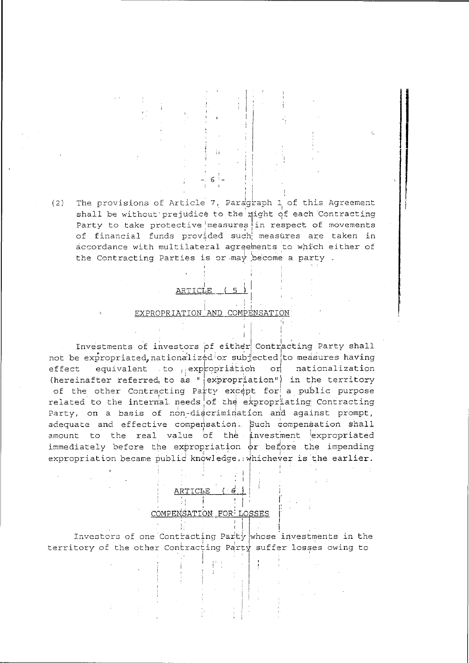The provisions of Article 7, Paragraph 1 of this Agreement  $(2)$ shall be without prejudice to the right of each Contracting Party to take protective measures in respect of movements of financial funds provided such measures are taken in accordance with multilateral agreements to which either of the Contracting Parties is or may become a party.

## ARTICLE (5

#### EXPROPRIATION AND COMPENSATION

Investments of investors of either Contracting Party shall not be expropriated, nationalized or subjected to measures having equivalent to expropriation or nationalization effect (hereinafter referred to as "  $\left|$  expropriation") in the territory of the other Contracting Party except for a public purpose related to the internal needs of the expropriating Contracting Party, on a basis of non-discrimination and against prompt, adequate and effective compensation. Such compensation shall amount to the real value of the investment expropriated immediately before the expropriation  $\phi$ r before the impending expropriation became public knowledge, whichever is the earlier.

#### ISATION FOR LOSSES

Investors of one Contracting Party whose investments in the territory of the other Contracting Party suffer losses owing to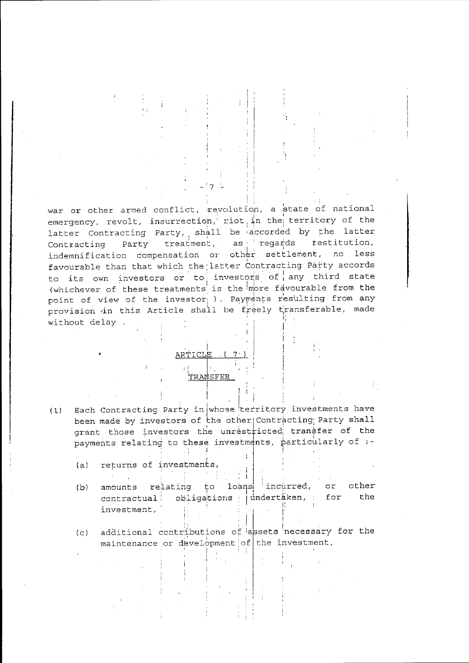war or other armed conflict, revolution, a state of national emergency, revolt, insurrection, riot in the territory of the latter Contracting Party, shall be accorded by the latter Contracting Party treatment, as regards restitution, indemnification compensation or other settlement, no less favourable than that which the latter Contracting Party accords to its own investors or to investors of any third state (whichever of these treatments is the more favourable from the point of view of the investor ). Payments resulting from any provision in this Article shall be freely transferable, made without delay.

> ARTICLE TRANSFER

Each Contracting Party in whose territory investments have  $(1)$ been made by investors of the other Contracting Party shall grant those investors the unrestricted transfer of the payments relating to these investments, particularly of :-

 $\cdot$  )

- returns of investments,  $(a)$
- amounts relating to loans incurred, or other  $(b)$ contractual obligations indertaken, for the investment,

additional contributions of assets necessary for the  $(c)$ maintenance or development of the investment,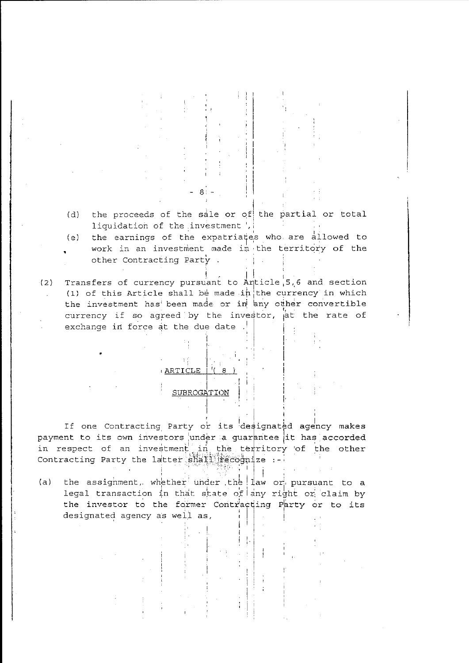- the proceeds of the sale or of the partial or total  $(d)$ liquidation of the investment ,
- $(e)$ the earnings of the expatriates who are allowed to work in an investment made in the territory of the other Contracting Party.
- Transfers of currency pursuant to Anticle 5,6 and section  $(2)$ (1) of this Article shall be made in the currency in which the investment has been made or in any other convertible currency if so agreed by the investor, at the rate of exchange in force at the due date .

# $A \nmid \mathcal{C}$ **ARTICLE**

### SUBROGATION

If one Contracting Party or its designated agency makes payment to its own investors under a guarantee it has accorded in respect of an investment in the territory of the other Contracting Party the latter shall recognize .-

the assignment, whether under the law or pursuant to a  $(a)$ legal transaction in that state of any right or claim by the investor to the former Contracting Party or to its designated agency as well as,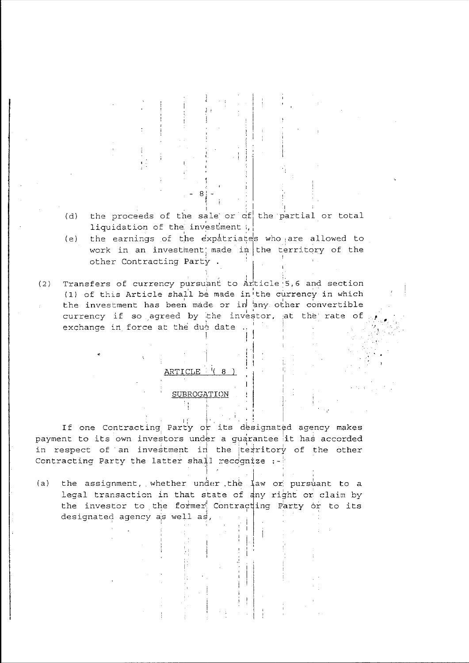- $(d)$ the proceeds of the sale or of the partial or total liquidation of the investment (
- the earnings of the expatriates who are allowed to  $(e)$ work in an investment made in the territory of the other Contracting Party.
- Transfers of currency pursuant to Article 5,6 and section  $(2)$ (1) of this Article shall be made in the currency in which the investment has been made or in any other convertible currency if so agreed by the investor, at the rate of exchange in force at the due date ..

## ARTICLE  $(8)$

#### SUBROGATION

If one Contracting Party or its designated agency makes payment to its own investors under a guarantee it has accorded in respect of an investment in the territory of the other Contracting Party the latter shall recognize :-

the assignment, whether under the law or pursuant to a  $(a)$ legal transaction in that state of any right or claim by the investor to the former Contracting Party or to its designated agency as well as,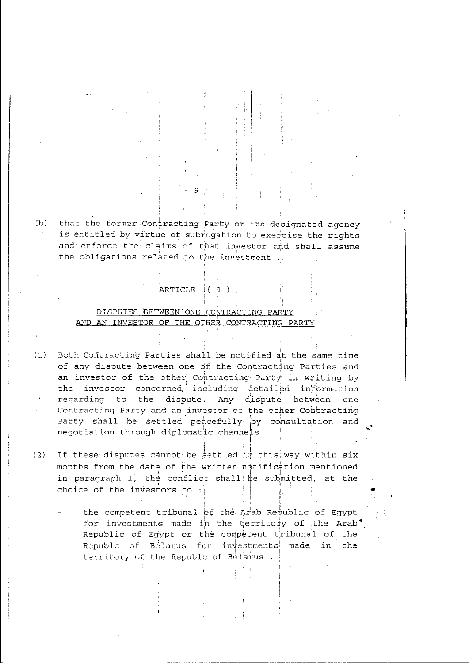that the former Contracting Party on its designated agency  $(b)$ is entitled by virtue of subrogation to exercise the rights and enforce the claims of that investor and shall assume the obligations related to the investment

## ARTICLE (9).

## DISPUTES BETWEEN ONE CONTRACTING PARTY AND AN INVESTOR OF THE OTHER CONTRACTING PARTY

Both Contracting Parties shall be notified at the same time  $(1)$ of any dispute between one of the Contracting Parties and an investor of the other Contracting Party in writing by the investor concerned including detailed information<br>regarding to the dispute. Any dispute between one Contracting Party and an investor of the other Contracting Party shall be settled peacefully by consultation and negotiation through diplomatic channels.

 $(2)$ If these disputes cannot be settled in this way within six months from the date of the written notification mentioned in paragraph 1, the conflict shall be submitted, at the choice of the investors to :

> the competent tribunal of the Arab Republic of Egypt for investments made in the territory of the Arab. Republic of Egypt or the competent tribunal of the Republe of Belarus for investments made in the territory of the Republe of Belarus.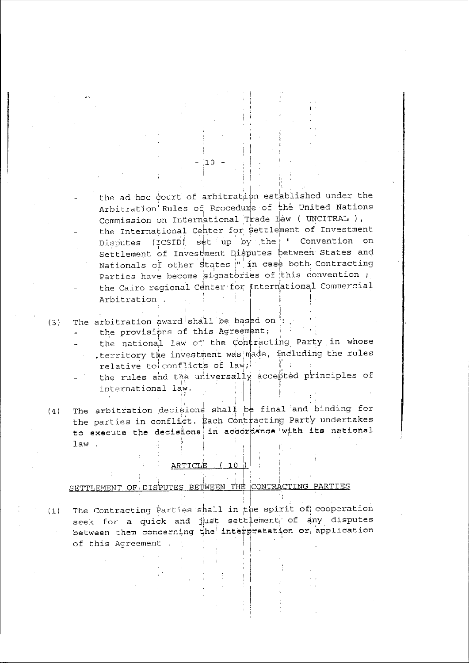the ad hoc court of arbitration established under the Arbitration Rules of Procedure of the United Nations Commission on International Trade Law ( UNCITRAL ), the International Center for settlement of Investment Disputes (ICSID) set up by the "Convention on Settlement of Investment Disputes between States and Nationals of other States |" in case both Contracting Parties have become signatories of this convention; the Cairo regional Center for International Commercial Arbitration .

The arbitration award shall be based on :  $(3)$ 

the provisions of this Agreement;

the national law of the Contracting Party in whose territory the investment was made, including the rules relative to conflicts of law;

the rules and the universally accepted principles of international law.

The arbitration decisions shall be final and binding for  $(4)$ the parties in conflict. Each Contracting Party undertakes to execute the decisions in accordance with its national law.

## <u>ARTICLE (10)</u>

SETTLEMENT OF DISPUTES BETWEEN THE CONTRACTING PARTIES

The Contracting Parties shall in the spirit of cooperation  $(1)$ seek for a quick and just settlement of any disputes between them concerning the interpretation or application of this Agreement.

 $10^{-1}$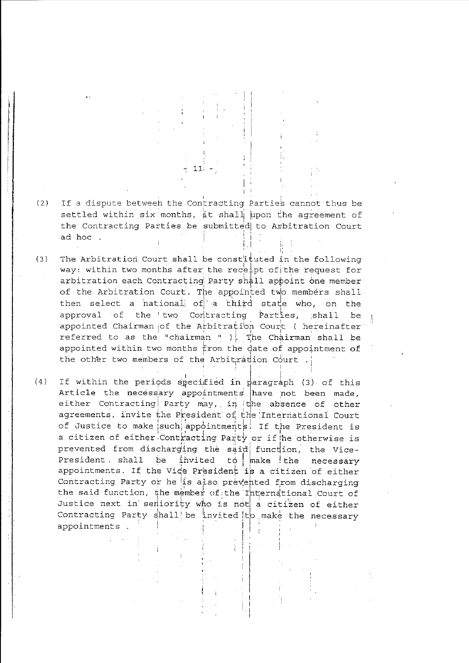- $(2)$ If a dispute betweeh the Contracting Parties cannot thus be settled within six months, it shall upon the agreement of the Contracting Parties be submitted to Arbitration Court ad hoc.
- $(3)$ The Arbitration Court shall be constituted in the following way: within two months after the receipt of the request for arbitration each Contracting Party shall appoint one member of the Arbitration Court. The appointed two members shall then select a national of a third state who, on the approval of the two Contracting Parties, shall be appointed Chairman of the Arbitration Court ( hereinafter referred to as the "chairman " ). The Chairman shall be appointed within two months from the date of appointment of the other two members of the Arbitration Court.
- $(4)$ If within the periods specified in paragraph (3) of this Article the necessary appointments have not been made, either Contracting Party may, in the absence of other agreements, invite the President of the International Court of Justice to make such appointments! If the President is a citizen of either Contracting Party or if he otherwise is prevented from discharging the said function, the Vicebe invited to make the necessary President, shall appointments. If the Vice President is a citizen of either Contracting Party or he is also prevented from discharging the said function, the member of the International Court of Justice next in semiority who is not a citizen of either Contracting Party shall be invited to make the necessary appointments.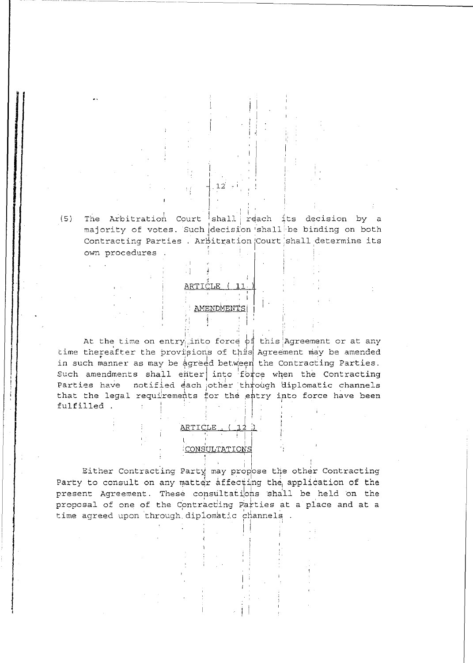(5) The Arbitration Court shall reach its decision by a majority of votes. Such decision shall be binding on both Contracting Parties . Arbitration Court shall determine its own procedures.

 $12$ 

## AMENDMENTS

At the time on entry into force of this Agreement or at any time thereafter the provisions of this Agreement may be amended in such manner as may be agreed between the Contracting Parties. Such amendments shall enter into force when the Contracting Parties have notified each other through diplomatic channels that the legal requirements for the entry into force have been fulfilled.

# <u>ARTICLE,</u> CONSULTATIONS

Either Contracting Party may propose the other Contracting Party to consult on any matter affecting the application of the present Agreement. These consultations shall be held on the proposal of one of the Contracting Parties at a place and at a time agreed upon through diplomatic channels.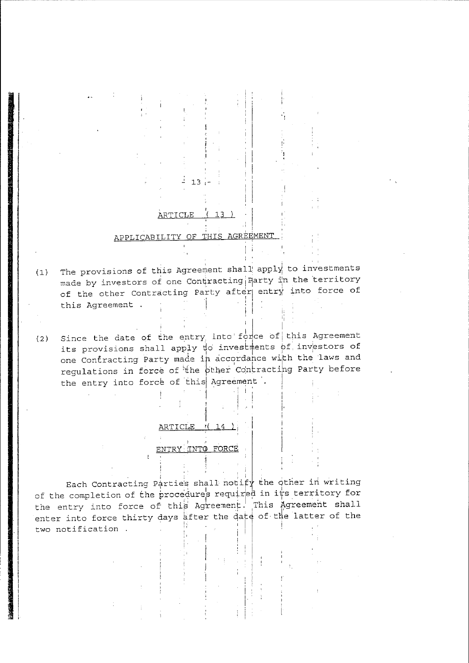## ARTICLE (13)

 $13<sub>1</sub>$ 

## APPLICABILITY OF THIS AGREEMENT

- The provisions of this Agreement shall apply to investments  $(1)$ made by investors of one Contracting Aarty in the territory of the other Contracting Party after entry into force of this Agreement .
- Since the date of the entry into force of this Agreement  $(2)$ its provisions shall apply to investments of investors of one Contracting Party made in accordance with the laws and regulations in force of the pther Contracting Party before the entry into force of this Agreement.

Ť

## ARTICLE  $((14)$

#### ENTRY INTO FORCE

Each Contracting Parties shall notify the other in writing of the completion of the procedures required in its territory for the entry into force of this Agreement. This Agreement shall enter into force thirty days after the date of the latter of the two notification.